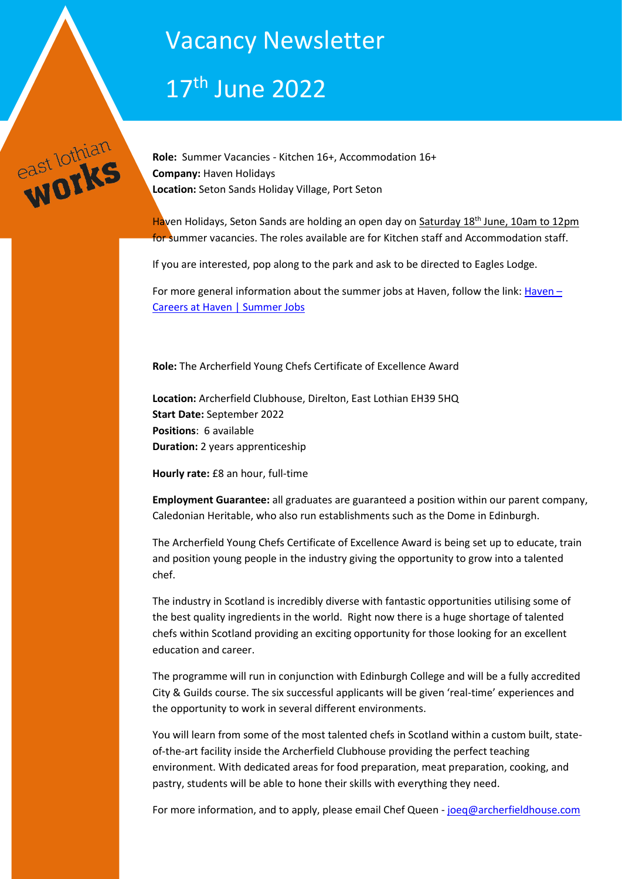# Vacancy Newsletter

# 17th June 2022



**Role:** Summer Vacancies - Kitchen 16+, Accommodation 16+ **Company:** Haven Holidays **Location:** Seton Sands Holiday Village, Port Seton

[Haven Holidays,](https://www.haven.com/parks/scotland/seton-sands) Seton Sands are holding an open day on Saturday 18<sup>th</sup> June, 10am to 12pm for summer vacancies. The roles available are for Kitchen staff and Accommodation staff.

If you are interested, pop along to the park and ask to be directed to Eagles Lodge.

For more general information about the summer jobs at Haven, follow the link: [Haven](https://www.inploi.com/company/haven/summer-jobs) – [Careers at Haven | Summer Jobs](https://www.inploi.com/company/haven/summer-jobs)

**Role:** The Archerfield Young Chefs Certificate of Excellence Award

**Location:** Archerfield Clubhouse, Direlton, East Lothian EH39 5HQ **Start Date:** September 2022 **Positions**: 6 available **Duration:** 2 years apprenticeship

**Hourly rate:** £8 an hour, full-time

**Employment Guarantee:** all graduates are guaranteed a position within our parent company, Caledonian Heritable, who also run establishments such as the Dome in Edinburgh.

The Archerfield Young Chefs Certificate of Excellence Award is being set up to educate, train and position young people in the industry giving the opportunity to grow into a talented chef.

The industry in Scotland is incredibly diverse with fantastic opportunities utilising some of the best quality ingredients in the world. Right now there is a huge shortage of talented chefs within Scotland providing an exciting opportunity for those looking for an excellent education and career.

The programme will run in conjunction with Edinburgh College and will be a fully accredited City & Guilds course. The six successful applicants will be given 'real-time' experiences and the opportunity to work in several different environments.

You will learn from some of the most talented chefs in Scotland within a custom built, stateof-the-art facility inside the Archerfield Clubhouse providing the perfect teaching environment. With dedicated areas for food preparation, meat preparation, cooking, and pastry, students will be able to hone their skills with everything they need.

For more information, and to apply, please email Chef Queen - [joeq@archerfieldhouse.com](mailto:joeq@archerfieldhouse.com)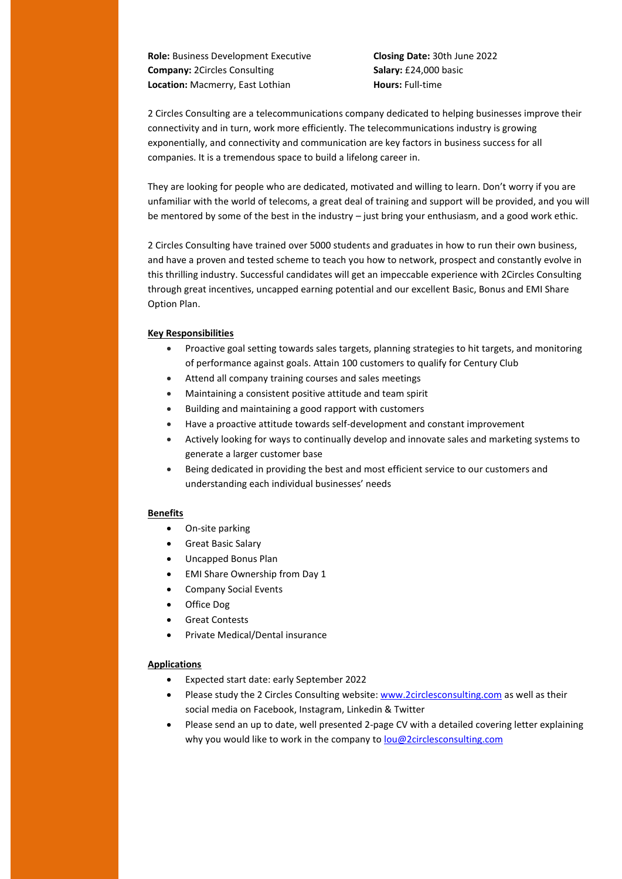**Role:** Business Development Executive **Closing Date:** 30th June 2022 **Company:** 2Circles Consulting **Salary:** £24,000 basic **Location:** Macmerry, East Lothian **Hours:** Full-time

2 Circles Consulting are a telecommunications company dedicated to helping businesses improve their connectivity and in turn, work more efficiently. The telecommunications industry is growing exponentially, and connectivity and communication are key factors in business success for all companies. It is a tremendous space to build a lifelong career in.

They are looking for people who are dedicated, motivated and willing to learn. Don't worry if you are unfamiliar with the world of telecoms, a great deal of training and support will be provided, and you will be mentored by some of the best in the industry – just bring your enthusiasm, and a good work ethic.

2 Circles Consulting have trained over 5000 students and graduates in how to run their own business, and have a proven and tested scheme to teach you how to network, prospect and constantly evolve in this thrilling industry. Successful candidates will get an impeccable experience with 2Circles Consulting through great incentives, uncapped earning potential and our excellent Basic, Bonus and EMI Share Option Plan.

#### **Key Responsibilities**

- Proactive goal setting towards sales targets, planning strategies to hit targets, and monitoring of performance against goals. Attain 100 customers to qualify for Century Club
- Attend all company training courses and sales meetings
- Maintaining a consistent positive attitude and team spirit
- Building and maintaining a good rapport with customers
- Have a proactive attitude towards self-development and constant improvement
- Actively looking for ways to continually develop and innovate sales and marketing systems to generate a larger customer base
- Being dedicated in providing the best and most efficient service to our customers and understanding each individual businesses' needs

#### **Benefits**

- On-site parking
- Great Basic Salary
- Uncapped Bonus Plan
- EMI Share Ownership from Day 1
- Company Social Events
- Office Dog
- Great Contests
- Private Medical/Dental insurance

#### **Applications**

- Expected start date: early September 2022
- Please study the 2 Circles Consulting website: [www.2circlesconsulting.com](http://www.2circlesconsulting.com/) as well as their social media on Facebook, Instagram, Linkedin & Twitter
- Please send an up to date, well presented 2-page CV with a detailed covering letter explaining why you would like to work in the company t[o lou@2circlesconsulting.com](mailto:lou@2circlesconsulting.com)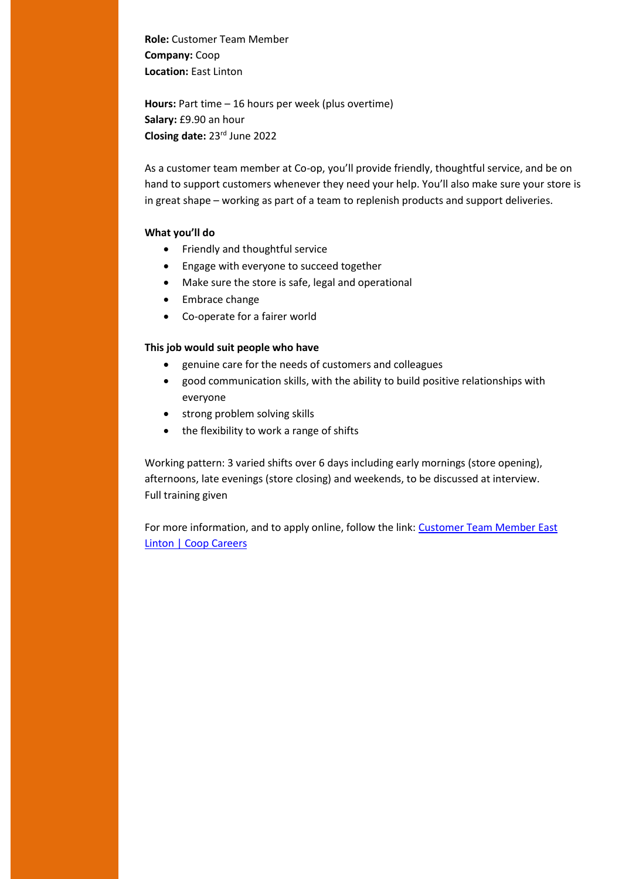**Role:** Customer Team Member **Company:** Coop **Location:** East Linton

**Hours:** Part time – 16 hours per week (plus overtime) **Salary:** £9.90 an hour **Closing date:** 23rd June 2022

As a customer team member at Co-op, you'll provide friendly, thoughtful service, and be on hand to support customers whenever they need your help. You'll also make sure your store is in great shape – working as part of a team to replenish products and support deliveries.

## **What you'll do**

- Friendly and thoughtful service
- Engage with everyone to succeed together
- Make sure the store is safe, legal and operational
- Embrace change
- Co-operate for a fairer world

### **This job would suit people who have**

- genuine care for the needs of customers and colleagues
- good communication skills, with the ability to build positive relationships with everyone
- strong problem solving skills
- the flexibility to work a range of shifts

Working pattern: 3 varied shifts over 6 days including early mornings (store opening), afternoons, late evenings (store closing) and weekends, to be discussed at interview. Full training given

For more information, and to apply online, follow the link[: Customer Team Member East](https://jobs.coop.co.uk/job/east-linton/customer-team-member/22964/31071652512)  [Linton | Coop Careers](https://jobs.coop.co.uk/job/east-linton/customer-team-member/22964/31071652512)